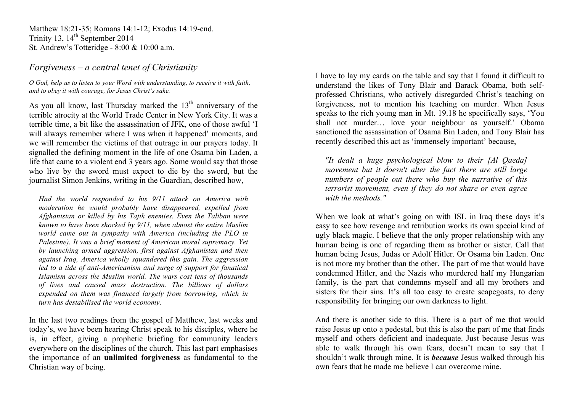Matthew 18:21-35; Romans 14:1-12; Exodus 14:19-end. Trinity 13,  $14<sup>th</sup>$  September 2014 St. Andrew's Totteridge - 8:00 & 10:00 a.m.

## *Forgiveness – a central tenet of Christianity*

*O God, help us to listen to your Word with understanding, to receive it with faith, and to obey it with courage, for Jesus Christ's sake.* 

As you all know, last Thursday marked the  $13<sup>th</sup>$  anniversary of the terrible atrocity at the World Trade Center in New York City. It was a terrible time, a bit like the assassination of JFK, one of those awful 'I will always remember where I was when it happened' moments, and we will remember the victims of that outrage in our prayers today. It signalled the defining moment in the life of one Osama bin Laden, a life that came to a violent end 3 years ago. Some would say that those who live by the sword must expect to die by the sword, but the journalist Simon Jenkins, writing in the Guardian, described how,

*Had the world responded to his 9/11 attack on America with moderation he would probably have disappeared, expelled from Afghanistan or killed by his Tajik enemies. Even the Taliban were known to have been shocked by 9/11, when almost the entire Muslim world came out in sympathy with America (including the PLO in Palestine). It was a brief moment of American moral supremacy. Yet by launching armed aggression, first against Afghanistan and then against Iraq, America wholly squandered this gain. The aggression led to a tide of anti-Americanism and surge of support for fanatical Islamism across the Muslim world. The wars cost tens of thousands of lives and caused mass destruction. The billions of dollars expended on them was financed largely from borrowing, which in turn has destabilised the world economy.*

In the last two readings from the gospel of Matthew, last weeks and today's, we have been hearing Christ speak to his disciples, where he is, in effect, giving a prophetic briefing for community leaders everywhere on the disciplines of the church. This last part emphasises the importance of an **unlimited forgiveness** as fundamental to the Christian way of being.

I have to lay my cards on the table and say that I found it difficult to understand the likes of Tony Blair and Barack Obama, both selfprofessed Christians, who actively disregarded Christ's teaching on forgiveness, not to mention his teaching on murder. When Jesus speaks to the rich young man in Mt. 19.18 he specifically says, 'You shall not murder… love your neighbour as yourself.' Obama sanctioned the assassination of Osama Bin Laden, and Tony Blair has recently described this act as 'immensely important' because,

*"It dealt a huge psychological blow to their [Al Qaeda] movement but it doesn't alter the fact there are still large numbers of people out there who buy the narrative of this terrorist movement, even if they do not share or even agree with the methods."*

When we look at what's going on with ISL in Iraq these days it's easy to see how revenge and retribution works its own special kind of ugly black magic. I believe that the only proper relationship with any human being is one of regarding them as brother or sister. Call that human being Jesus, Judas or Adolf Hitler. Or Osama bin Laden. One is not more my brother than the other. The part of me that would have condemned Hitler, and the Nazis who murdered half my Hungarian family, is the part that condemns myself and all my brothers and sisters for their sins. It's all too easy to create scapegoats, to deny responsibility for bringing our own darkness to light.

And there is another side to this. There is a part of me that would raise Jesus up onto a pedestal, but this is also the part of me that finds myself and others deficient and inadequate. Just because Jesus was able to walk through his own fears, doesn't mean to say that I shouldn't walk through mine. It is *because* Jesus walked through his own fears that he made me believe I can overcome mine.